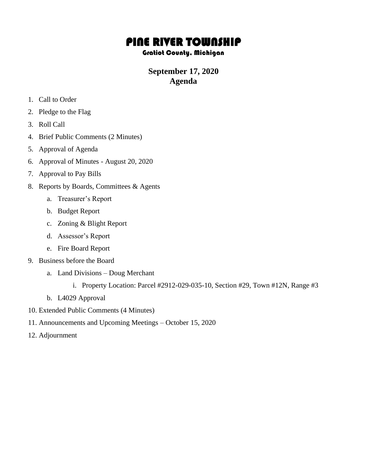## PINE RIVER TOWNSHIP

## Gratiot County, Michigan

## **September 17, 2020 Agenda**

- 1. Call to Order
- 2. Pledge to the Flag
- 3. Roll Call
- 4. Brief Public Comments (2 Minutes)
- 5. Approval of Agenda
- 6. Approval of Minutes August 20, 2020
- 7. Approval to Pay Bills
- 8. Reports by Boards, Committees & Agents
	- a. Treasurer's Report
	- b. Budget Report
	- c. Zoning & Blight Report
	- d. Assessor's Report
	- e. Fire Board Report
- 9. Business before the Board
	- a. Land Divisions Doug Merchant
		- i. Property Location: Parcel #2912-029-035-10, Section #29, Town #12N, Range #3
	- b. L4029 Approval
- 10. Extended Public Comments (4 Minutes)
- 11. Announcements and Upcoming Meetings October 15, 2020
- 12. Adjournment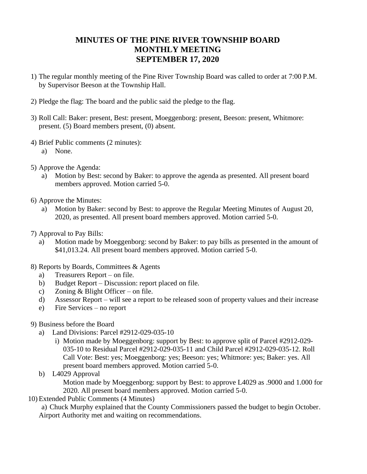## **MINUTES OF THE PINE RIVER TOWNSHIP BOARD MONTHLY MEETING SEPTEMBER 17, 2020**

- 1) The regular monthly meeting of the Pine River Township Board was called to order at 7:00 P.M. by Supervisor Beeson at the Township Hall.
- 2) Pledge the flag: The board and the public said the pledge to the flag.
- 3) Roll Call: Baker: present, Best: present, Moeggenborg: present, Beeson: present, Whitmore: present. (5) Board members present, (0) absent.
- 4) Brief Public comments (2 minutes):
	- a) None.
- 5) Approve the Agenda:
	- a) Motion by Best: second by Baker: to approve the agenda as presented. All present board members approved. Motion carried 5-0.
- 6) Approve the Minutes:
	- a) Motion by Baker: second by Best: to approve the Regular Meeting Minutes of August 20, 2020, as presented. All present board members approved. Motion carried 5-0.
- 7) Approval to Pay Bills:
	- a) Motion made by Moeggenborg: second by Baker: to pay bills as presented in the amount of \$41,013.24. All present board members approved. Motion carried 5-0.
- 8) Reports by Boards, Committees & Agents
	- a) Treasurers Report on file.
	- b) Budget Report Discussion: report placed on file.
	- c) Zoning & Blight Officer on file.
	- d) Assessor Report will see a report to be released soon of property values and their increase
	- e) Fire Services no report
- 9) Business before the Board
	- a) Land Divisions: Parcel #2912-029-035-10
		- i) Motion made by Moeggenborg: support by Best: to approve split of Parcel #2912-029- 035-10 to Residual Parcel #2912-029-035-11 and Child Parcel #2912-029-035-12. Roll Call Vote: Best: yes; Moeggenborg: yes; Beeson: yes; Whitmore: yes; Baker: yes. All present board members approved. Motion carried 5-0.
	- b) L4029 Approval

Motion made by Moeggenborg: support by Best: to approve L4029 as .9000 and 1.000 for 2020. All present board members approved. Motion carried 5-0.

10) Extended Public Comments (4 Minutes)

a) Chuck Murphy explained that the County Commissioners passed the budget to begin October. Airport Authority met and waiting on recommendations.